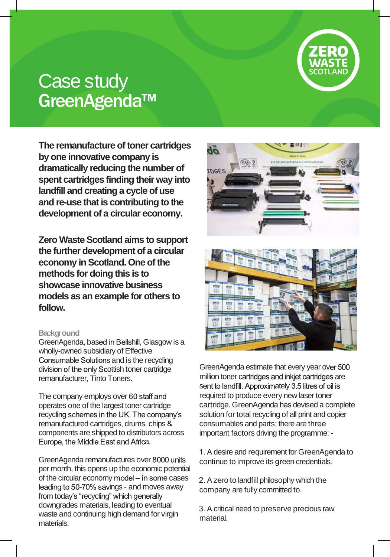

# Case study GreenAgenda™

**The remanufacture of toner cartridges by one innovative company is dramatically reducing the number of spent cartridges finding their way into landfill and creating a cycle of use and re-use that is contributing to the development of a circular economy.**

**Zero Waste Scotland aims to support the further development of a circular economy in Scotland. One of the methods for doing this is to showcase innovative business models as an example for others to follow.**

# **Ba**c**kg**r**ound**

GreenAgenda, based in Bellshill, Glasgow is a wholly-owned subsidiary of Effective Consumable Solutions and is the recycling division of the only Scottish toner cartridge remanufacturer, Tinto Toners.

The company employs over 60 staff and operates one of the largest toner cartridge recycling schemes in the UK. The company's remanufactured cartridges, drums, chips components are shipped to distributors across Europe, the Middle East and Africa.

GreenAgenda remanufactures over 8000 units per month, this opens up the economic potential of the circular economy model  $-$  in some cases leading to 50-70% savings - and moves away from today's "recycling" which generally downgrades materials, leading to eventual waste and continuing high demand for virgin materials.





GreenAgenda estimate that every year over 500 million toner cartridges and inkiet cartridges are sent to landfill. Approximately 3.5 litres of oil is required to produce every new laser toner cartridge. GreenAgenda has devised a complete solution for total recycling of all print and copier consumables and parts; there are three important factors driving the programme: -

1. A desire and requirement for GreenAgenda to continue to improve its green credentials.

2. A zero to landfill philosophy which the company are fully committed to.

3. A critical need to preserve precious raw material.